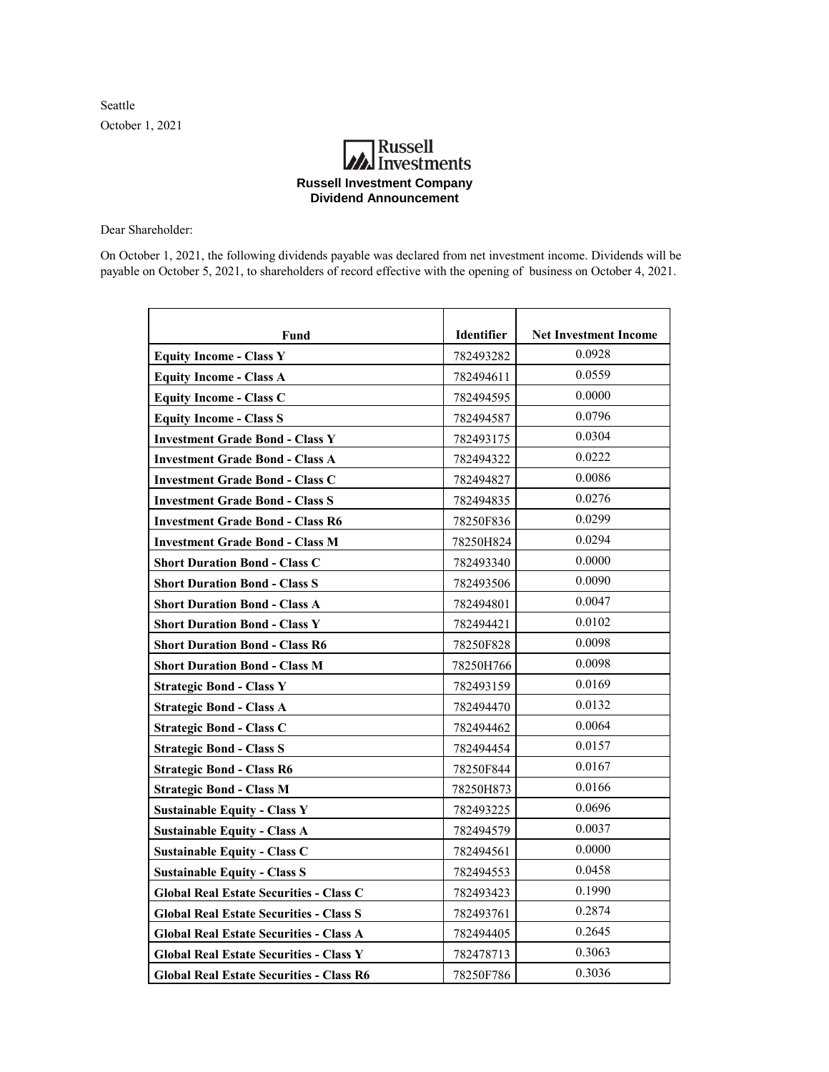Seattle October 1, 2021

## **Russell**<br>Investments **Russell Investment Company Dividend Announcement**

Dear Shareholder:

On October 1, 2021, the following dividends payable was declared from net investment income. Dividends will be payable on October 5, 2021, to shareholders of record effective with the opening of business on October 4, 2021.

| Fund                                            | Identifier | <b>Net Investment Income</b> |
|-------------------------------------------------|------------|------------------------------|
| <b>Equity Income - Class Y</b>                  | 782493282  | 0.0928                       |
| <b>Equity Income - Class A</b>                  | 782494611  | 0.0559                       |
| <b>Equity Income - Class C</b>                  | 782494595  | 0.0000                       |
| <b>Equity Income - Class S</b>                  | 782494587  | 0.0796                       |
| <b>Investment Grade Bond - Class Y</b>          | 782493175  | 0.0304                       |
| <b>Investment Grade Bond - Class A</b>          | 782494322  | 0.0222                       |
| <b>Investment Grade Bond - Class C</b>          | 782494827  | 0.0086                       |
| <b>Investment Grade Bond - Class S</b>          | 782494835  | 0.0276                       |
| <b>Investment Grade Bond - Class R6</b>         | 78250F836  | 0.0299                       |
| <b>Investment Grade Bond - Class M</b>          | 78250H824  | 0.0294                       |
| <b>Short Duration Bond - Class C</b>            | 782493340  | 0.0000                       |
| <b>Short Duration Bond - Class S</b>            | 782493506  | 0.0090                       |
| <b>Short Duration Bond - Class A</b>            | 782494801  | 0.0047                       |
| <b>Short Duration Bond - Class Y</b>            | 782494421  | 0.0102                       |
| <b>Short Duration Bond - Class R6</b>           | 78250F828  | 0.0098                       |
| <b>Short Duration Bond - Class M</b>            | 78250H766  | 0.0098                       |
| <b>Strategic Bond - Class Y</b>                 | 782493159  | 0.0169                       |
| <b>Strategic Bond - Class A</b>                 | 782494470  | 0.0132                       |
| <b>Strategic Bond - Class C</b>                 | 782494462  | 0.0064                       |
| <b>Strategic Bond - Class S</b>                 | 782494454  | 0.0157                       |
| <b>Strategic Bond - Class R6</b>                | 78250F844  | 0.0167                       |
| <b>Strategic Bond - Class M</b>                 | 78250H873  | 0.0166                       |
| <b>Sustainable Equity - Class Y</b>             | 782493225  | 0.0696                       |
| <b>Sustainable Equity - Class A</b>             | 782494579  | 0.0037                       |
| <b>Sustainable Equity - Class C</b>             | 782494561  | 0.0000                       |
| <b>Sustainable Equity - Class S</b>             | 782494553  | 0.0458                       |
| <b>Global Real Estate Securities - Class C</b>  | 782493423  | 0.1990                       |
| <b>Global Real Estate Securities - Class S</b>  | 782493761  | 0.2874                       |
| <b>Global Real Estate Securities - Class A</b>  | 782494405  | 0.2645                       |
| <b>Global Real Estate Securities - Class Y</b>  | 782478713  | 0.3063                       |
| <b>Global Real Estate Securities - Class R6</b> | 78250F786  | 0.3036                       |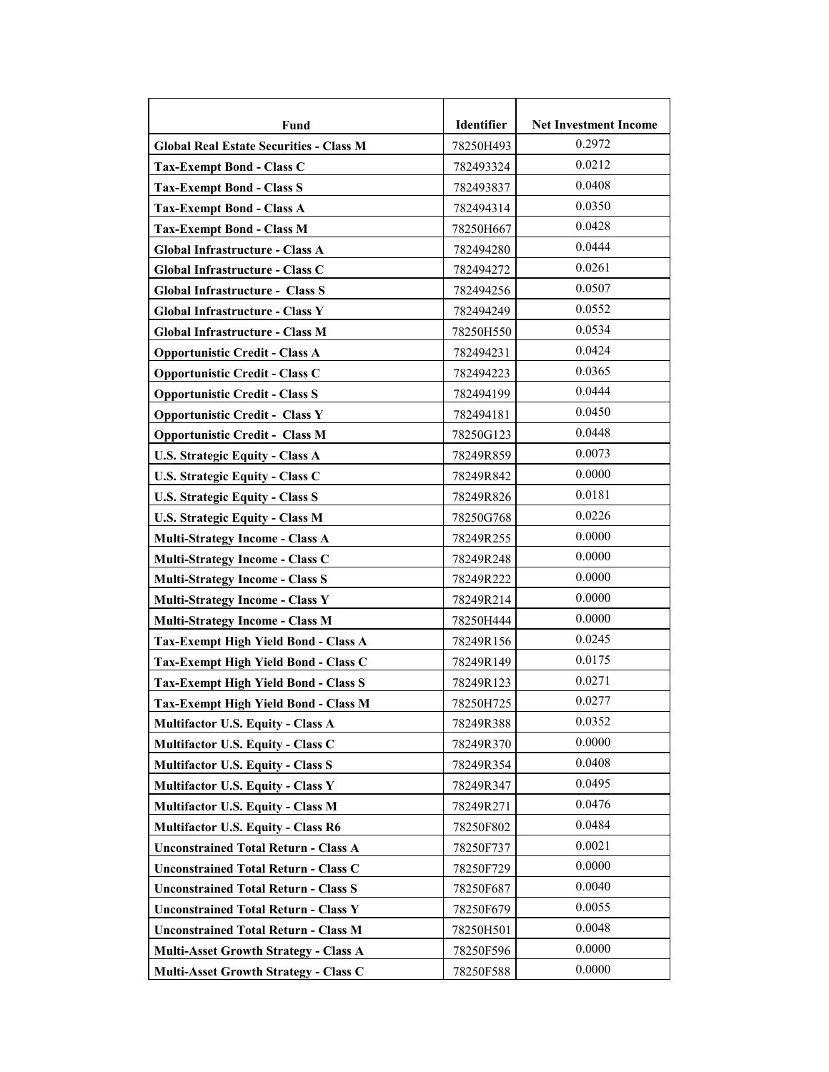| Fund                                           | Identifier | <b>Net Investment Income</b> |
|------------------------------------------------|------------|------------------------------|
| <b>Global Real Estate Securities - Class M</b> | 78250H493  | 0.2972                       |
| <b>Tax-Exempt Bond - Class C</b>               | 782493324  | 0.0212                       |
| <b>Tax-Exempt Bond - Class S</b>               | 782493837  | 0.0408                       |
| <b>Tax-Exempt Bond - Class A</b>               | 782494314  | 0.0350                       |
| <b>Tax-Exempt Bond - Class M</b>               | 78250H667  | 0.0428                       |
| Global Infrastructure - Class A                | 782494280  | 0.0444                       |
| Global Infrastructure - Class C                | 782494272  | 0.0261                       |
| <b>Global Infrastructure - Class S</b>         | 782494256  | 0.0507                       |
| Global Infrastructure - Class Y                | 782494249  | 0.0552                       |
| Global Infrastructure - Class M                | 78250H550  | 0.0534                       |
| <b>Opportunistic Credit - Class A</b>          | 782494231  | 0.0424                       |
| <b>Opportunistic Credit - Class C</b>          | 782494223  | 0.0365                       |
| <b>Opportunistic Credit - Class S</b>          | 782494199  | 0.0444                       |
| <b>Opportunistic Credit - Class Y</b>          | 782494181  | 0.0450                       |
| <b>Opportunistic Credit - Class M</b>          | 78250G123  | 0.0448                       |
| <b>U.S. Strategic Equity - Class A</b>         | 78249R859  | 0.0073                       |
| U.S. Strategic Equity - Class C                | 78249R842  | 0.0000                       |
| <b>U.S. Strategic Equity - Class S</b>         | 78249R826  | 0.0181                       |
| <b>U.S. Strategic Equity - Class M</b>         | 78250G768  | 0.0226                       |
| <b>Multi-Strategy Income - Class A</b>         | 78249R255  | 0.0000                       |
| Multi-Strategy Income - Class C                | 78249R248  | 0.0000                       |
| <b>Multi-Strategy Income - Class S</b>         | 78249R222  | 0.0000                       |
| <b>Multi-Strategy Income - Class Y</b>         | 78249R214  | 0.0000                       |
| <b>Multi-Strategy Income - Class M</b>         | 78250H444  | 0.0000                       |
| Tax-Exempt High Yield Bond - Class A           | 78249R156  | 0.0245                       |
| Tax-Exempt High Yield Bond - Class C           | 78249R149  | 0.0175                       |
| <b>Tax-Exempt High Yield Bond - Class S</b>    | 78249R123  | 0.0271                       |
| Tax-Exempt High Yield Bond - Class M           | 78250H725  | 0.0277                       |
| <b>Multifactor U.S. Equity - Class A</b>       | 78249R388  | 0.0352                       |
| Multifactor U.S. Equity - Class C              | 78249R370  | 0.0000                       |
| <b>Multifactor U.S. Equity - Class S</b>       | 78249R354  | 0.0408                       |
| <b>Multifactor U.S. Equity - Class Y</b>       | 78249R347  | 0.0495                       |
| <b>Multifactor U.S. Equity - Class M</b>       | 78249R271  | 0.0476                       |
| <b>Multifactor U.S. Equity - Class R6</b>      | 78250F802  | 0.0484                       |
| <b>Unconstrained Total Return - Class A</b>    | 78250F737  | 0.0021                       |
| <b>Unconstrained Total Return - Class C</b>    | 78250F729  | 0.0000                       |
| <b>Unconstrained Total Return - Class S</b>    | 78250F687  | 0.0040                       |
| <b>Unconstrained Total Return - Class Y</b>    | 78250F679  | 0.0055                       |
| <b>Unconstrained Total Return - Class M</b>    | 78250H501  | 0.0048                       |
| <b>Multi-Asset Growth Strategy - Class A</b>   | 78250F596  | 0.0000                       |
| Multi-Asset Growth Strategy - Class C          | 78250F588  | 0.0000                       |